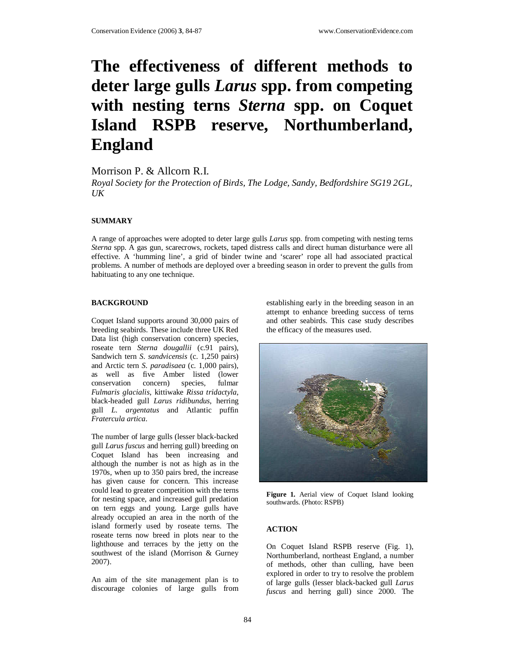# **The effectiveness of different methods to deter large gulls** *Larus* **spp. from competing with nesting terns** *Sterna* **spp. on Coquet Island RSPB reserve, Northumberland, England**

Morrison P. & Allcorn R.I.

*Royal Society for the Protection of Birds, The Lodge, Sandy, Bedfordshire SG19 2GL,*   $U$ *K* 

### **SUMMARY**

A range of approaches were adopted to deter large gulls *Larus* spp. from competing with nesting terns *Sterna* spp. A gas gun, scarecrows, rockets, taped distress calls and direct human disturbance were all effective. A 'humming line', a grid of binder twine and 'scarer' rope all had associated practical problems. A number of methods are deployed over a breeding season in order to prevent the gulls from habituating to any one technique.

#### **BACKGROUND**

Coquet Island supports around 30,000 pairs of breeding seabirds. These include three UK Red Data list (high conservation concern) species, roseate tern *Sterna dougallii* (c.91 pairs), Sandwich tern *S. sandvicensis* (c. 1,250 pairs) and Arctic tern *S. paradisaea* (c. 1,000 pairs), as well as five Amber listed (lower conservation concern) species, fulmar *Fulmaris glacialis*, kittiwake *Rissa tridactyla*, black-headed gull *Larus ridibundus*, herring gull *L. argentatus* and Atlantic puffin *Fratercula artica*.

The number of large gulls (lesser black-backed gull *Larus fuscus* and herring gull) breeding on Coquet Island has been increasing and although the number is not as high as in the 1970s, when up to 350 pairs bred, the increase has given cause for concern. This increase could lead to greater competition with the terns for nesting space, and increased gull predation on tern eggs and young. Large gulls have already occupied an area in the north of the island formerly used by roseate terns. The roseate terns now breed in plots near to the lighthouse and terraces by the jetty on the southwest of the island (Morrison & Gurney 2007).

An aim of the site management plan is to discourage colonies of large gulls from establishing early in the breeding season in an attempt to enhance breeding success of terns and other seabirds. This case study describes the efficacy of the measures used.



**Figure 1.** Aerial view of Coquet Island looking southwards. (Photo: RSPB)

# **ACTION**

On Coquet Island RSPB reserve (Fig. 1), Northumberland, northeast England, a number of methods, other than culling, have been explored in order to try to resolve the problem of large gulls (lesser black-backed gull *Larus fuscus* and herring gull) since 2000. The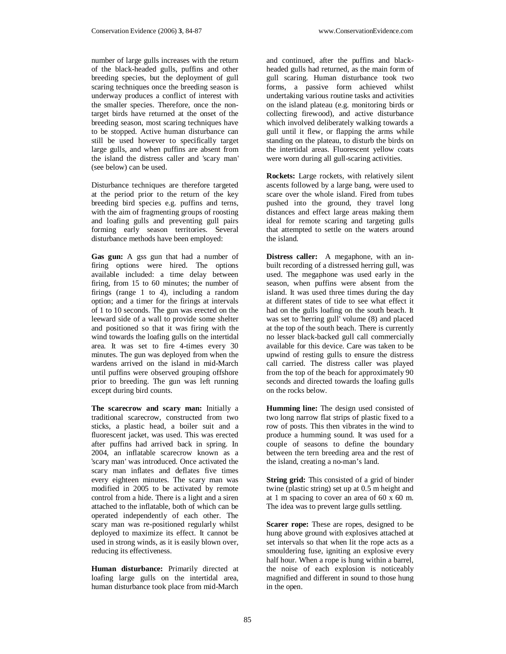number of large gulls increases with the return of the black-headed gulls, puffins and other breeding species, but the deployment of gull scaring techniques once the breeding season is underway produces a conflict of interest with the smaller species. Therefore, once the nontarget birds have returned at the onset of the breeding season, most scaring techniques have to be stopped. Active human disturbance can still be used however to specifically target large gulls, and when puffins are absent from the island the distress caller and 'scary man' (see below) can be used.

Disturbance techniques are therefore targeted at the period prior to the return of the key breeding bird species e.g. puffins and terns, with the aim of fragmenting groups of roosting and loafing gulls and preventing gull pairs forming early season territories. Several disturbance methods have been employed:

**Gas gun:** A gss gun that had a number of firing options were hired. The options available included: a time delay between firing, from 15 to 60 minutes; the number of firings (range 1 to 4), including a random option; and a timer for the firings at intervals of 1 to 10 seconds. The gun was erected on the leeward side of a wall to provide some shelter and positioned so that it was firing with the wind towards the loafing gulls on the intertidal area. It was set to fire 4-times every 30 minutes. The gun was deployed from when the wardens arrived on the island in mid-March until puffins were observed grouping offshore prior to breeding. The gun was left running except during bird counts.

**The scarecrow and scary man:** Initially a traditional scarecrow, constructed from two sticks, a plastic head, a boiler suit and a fluorescent jacket, was used. This was erected after puffins had arrived back in spring. In 2004, an inflatable scarecrow known as a 'scary man' was introduced. Once activated the scary man inflates and deflates five times every eighteen minutes. The scary man was modified in 2005 to be activated by remote control from a hide. There is a light and a siren attached to the inflatable, both of which can be operated independently of each other. The scary man was re-positioned regularly whilst deployed to maximize its effect. It cannot be used in strong winds, as it is easily blown over, reducing its effectiveness.

**Human disturbance:** Primarily directed at loafing large gulls on the intertidal area, human disturbance took place from mid-March

and continued, after the puffins and blackheaded gulls had returned, as the main form of gull scaring. Human disturbance took two forms, a passive form achieved whilst undertaking various routine tasks and activities on the island plateau (e.g. monitoring birds or collecting firewood), and active disturbance which involved deliberately walking towards a gull until it flew, or flapping the arms while standing on the plateau, to disturb the birds on the intertidal areas. Fluorescent yellow coats were worn during all gull-scaring activities.

**Rockets:** Large rockets, with relatively silent ascents followed by a large bang, were used to scare over the whole island. Fired from tubes pushed into the ground, they travel long distances and effect large areas making them ideal for remote scaring and targeting gulls that attempted to settle on the waters around the island.

**Distress caller:** A megaphone, with an inbuilt recording of a distressed herring gull, was used. The megaphone was used early in the season, when puffins were absent from the island. It was used three times during the day at different states of tide to see what effect it had on the gulls loafing on the south beach. It was set to 'herring gull' volume (8) and placed at the top of the south beach. There is currently no lesser black-backed gull call commercially available for this device. Care was taken to be upwind of resting gulls to ensure the distress call carried. The distress caller was played from the top of the beach for approximately 90 seconds and directed towards the loafing gulls on the rocks below.

**Humming line:** The design used consisted of two long narrow flat strips of plastic fixed to a row of posts. This then vibrates in the wind to produce a humming sound. It was used for a couple of seasons to define the boundary between the tern breeding area and the rest of the island, creating a no-man's land.

**String grid:** This consisted of a grid of binder twine (plastic string) set up at 0.5 m height and at 1 m spacing to cover an area of 60 x 60 m. The idea was to prevent large gulls settling.

**Scarer rope:** These are ropes, designed to be hung above ground with explosives attached at set intervals so that when lit the rope acts as a smouldering fuse, igniting an explosive every half hour. When a rope is hung within a barrel, the noise of each explosion is noticeably magnified and different in sound to those hung in the open.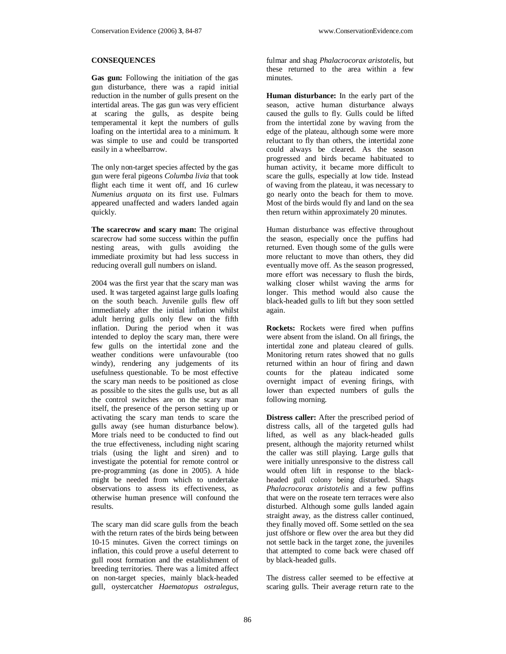#### **CONSEQUENCES**

**Gas gun:** Following the initiation of the gas gun disturbance, there was a rapid initial reduction in the number of gulls present on the intertidal areas. The gas gun was very efficient at scaring the gulls, as despite being temperamental it kept the numbers of gulls loafing on the intertidal area to a minimum. It was simple to use and could be transported easily in a wheelbarrow.

The only non-target species affected by the gas gun were feral pigeons *Columba livia* that took flight each time it went off, and 16 curlew *Numenius arquata* on its first use. Fulmars appeared unaffected and waders landed again quickly.

**The scarecrow and scary man:** The original scarecrow had some success within the puffin nesting areas, with gulls avoiding the immediate proximity but had less success in reducing overall gull numbers on island.

2004 was the first year that the scary man was used. It was targeted against large gulls loafing on the south beach. Juvenile gulls flew off immediately after the initial inflation whilst adult herring gulls only flew on the fifth inflation. During the period when it was intended to deploy the scary man, there were few gulls on the intertidal zone and the weather conditions were unfavourable (too windy), rendering any judgements of its usefulness questionable. To be most effective the scary man needs to be positioned as close as possible to the sites the gulls use, but as all the control switches are on the scary man itself, the presence of the person setting up or activating the scary man tends to scare the gulls away (see human disturbance below). More trials need to be conducted to find out the true effectiveness, including night scaring trials (using the light and siren) and to investigate the potential for remote control or pre-programming (as done in 2005). A hide might be needed from which to undertake observations to assess its effectiveness, as otherwise human presence will confound the results.

The scary man did scare gulls from the beach with the return rates of the birds being between 10-15 minutes. Given the correct timings on inflation, this could prove a useful deterrent to gull roost formation and the establishment of breeding territories. There was a limited affect on non-target species, mainly black-headed gull, oystercatcher *Haematopus ostralegus*, fulmar and shag *Phalacrocorax aristotelis*, but these returned to the area within a few minutes.

**Human disturbance:** In the early part of the season, active human disturbance always caused the gulls to fly. Gulls could be lifted from the intertidal zone by waving from the edge of the plateau, although some were more reluctant to fly than others, the intertidal zone could always be cleared. As the season progressed and birds became habituated to human activity, it became more difficult to scare the gulls, especially at low tide. Instead of waving from the plateau, it was necessary to go nearly onto the beach for them to move. Most of the birds would fly and land on the sea then return within approximately 20 minutes.

Human disturbance was effective throughout the season, especially once the puffins had returned. Even though some of the gulls were more reluctant to move than others, they did eventually move off. As the season progressed, more effort was necessary to flush the birds, walking closer whilst waving the arms for longer. This method would also cause the black-headed gulls to lift but they soon settled again.

**Rockets:** Rockets were fired when puffins were absent from the island. On all firings, the intertidal zone and plateau cleared of gulls. Monitoring return rates showed that no gulls returned within an hour of firing and dawn counts for the plateau indicated some overnight impact of evening firings, with lower than expected numbers of gulls the following morning.

**Distress caller:** After the prescribed period of distress calls, all of the targeted gulls had lifted, as well as any black-headed gulls present, although the majority returned whilst the caller was still playing. Large gulls that were initially unresponsive to the distress call would often lift in response to the blackheaded gull colony being disturbed. Shags *Phalacrocorax aristotelis* and a few puffins that were on the roseate tern terraces were also disturbed. Although some gulls landed again straight away, as the distress caller continued, they finally moved off. Some settled on the sea just offshore or flew over the area but they did not settle back in the target zone, the juveniles that attempted to come back were chased off by black-headed gulls.

The distress caller seemed to be effective at scaring gulls. Their average return rate to the